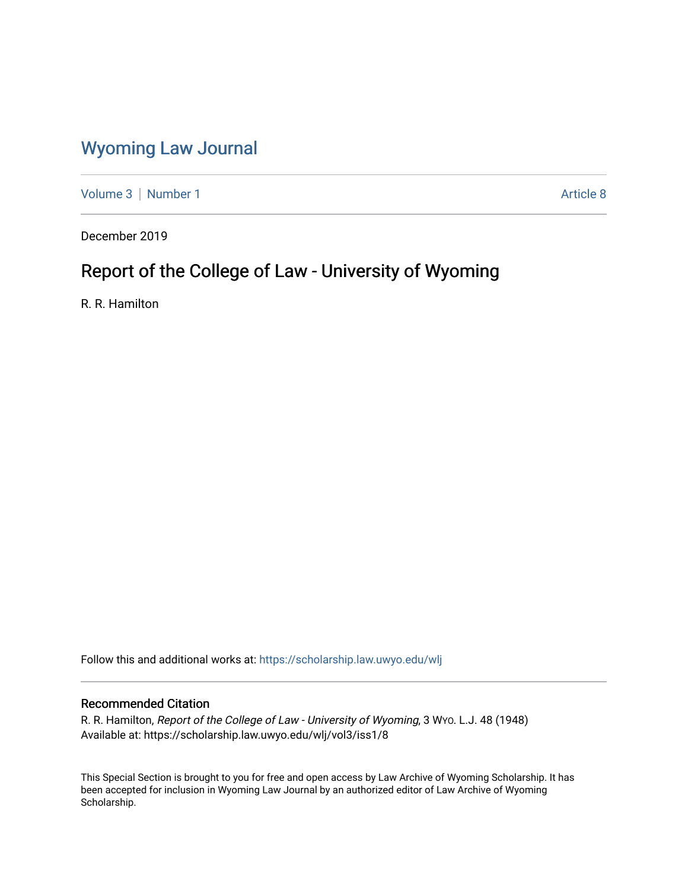## [Wyoming Law Journal](https://scholarship.law.uwyo.edu/wlj)

[Volume 3](https://scholarship.law.uwyo.edu/wlj/vol3) | [Number 1](https://scholarship.law.uwyo.edu/wlj/vol3/iss1) Article 8

December 2019

# Report of the College of Law - University of Wyoming

R. R. Hamilton

Follow this and additional works at: [https://scholarship.law.uwyo.edu/wlj](https://scholarship.law.uwyo.edu/wlj?utm_source=scholarship.law.uwyo.edu%2Fwlj%2Fvol3%2Fiss1%2F8&utm_medium=PDF&utm_campaign=PDFCoverPages) 

## Recommended Citation

R. R. Hamilton, Report of the College of Law - University of Wyoming, 3 WYO. L.J. 48 (1948) Available at: https://scholarship.law.uwyo.edu/wlj/vol3/iss1/8

This Special Section is brought to you for free and open access by Law Archive of Wyoming Scholarship. It has been accepted for inclusion in Wyoming Law Journal by an authorized editor of Law Archive of Wyoming Scholarship.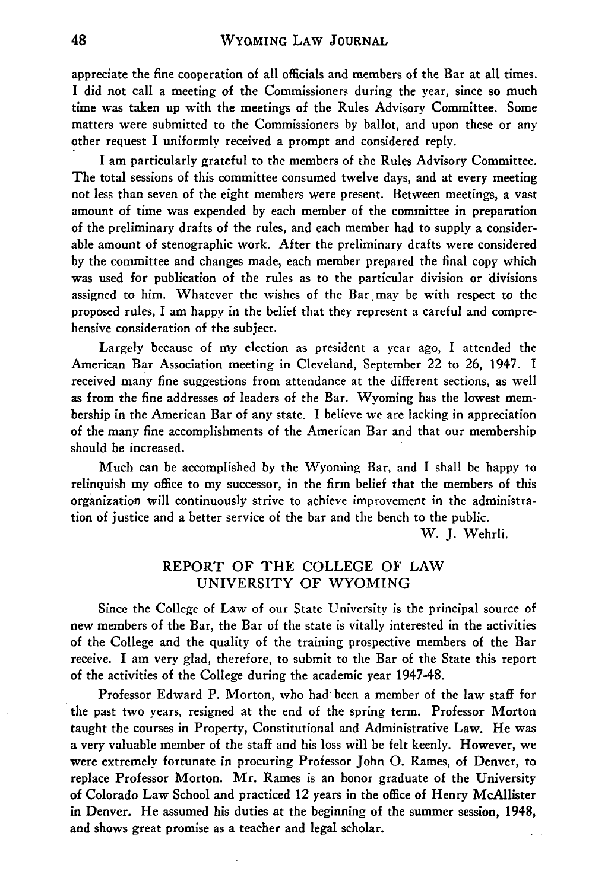appreciate the fine cooperation of all officials and members of the Bar at all times. I did not call a meeting of the Commissioners during the year, since so much time was taken up with the meetings of the Rules Advisory Committee. Some matters were submitted to the Commissioners by ballot, and upon these or any other request I uniformly received a prompt and considered reply.

I am particularly grateful to the members of the Rules Advisory Committee. The total sessions of this committee consumed twelve days, and at every meeting not less than seven of the eight members were present. Between meetings, a vast amount of time was expended by each member of the committee in preparation of the preliminary drafts of the rules, and each member had to supply a considerable amount of stenographic work. After the preliminary drafts were considered by the committee and changes made, each member prepared the final copy which was used for publication of the rules as to the particular division or divisions assigned to him. Whatever the wishes of the Bar may be with respect to the proposed rules, I am happy in the belief that they represent a careful and comprehensive consideration of the subject.

Largely because of my election as president a year ago, I attended the American Bar Association meeting in Cleveland, September 22 to 26, 1947. I received many fine suggestions from attendance at the different sections, as well as from the fine addresses of leaders of the Bar. Wyoming has the lowest membership in the American Bar of any state. I believe we are lacking in appreciation of the many fine accomplishments of the American Bar and that our membership should be increased.

Much can be accomplished by the Wyoming Bar, and I shall be happy to relinquish my office to my successor, in the firm belief that the members of this organization will continuously strive to achieve improvement in the administration of justice and a better service of the bar and the bench to the public.

W. J. Wehrli.

#### REPORT OF THE COLLEGE OF LAW UNIVERSITY OF WYOMING

Since the College of Law of our State University is the principal source of new members of the Bar, the Bar of the state is vitally interested in the activities of the College and the quality of the training prospective members of the Bar receive. I am very glad, therefore, to submit to the Bar of the State this report of the activities of the College during the academic year 194748.

Professor Edward P. Morton, who had been a member of the law staff for the past two years, resigned at the end of the spring term. Professor Morton taught the courses in Property, Constitutional and Administrative Law. He was a very valuable member of the staff and his loss will be felt keenly. However, we were extremely fortunate in procuring Professor John **0.** Rames, of Denver, to replace Professor Morton. Mr. Rames is an honor graduate of the University of Colorado Law School and practiced 12 years in the office of Henry McAllister in Denver. He assumed his duties at the beginning of the summer session, 1948, and shows great promise as a teacher and legal scholar.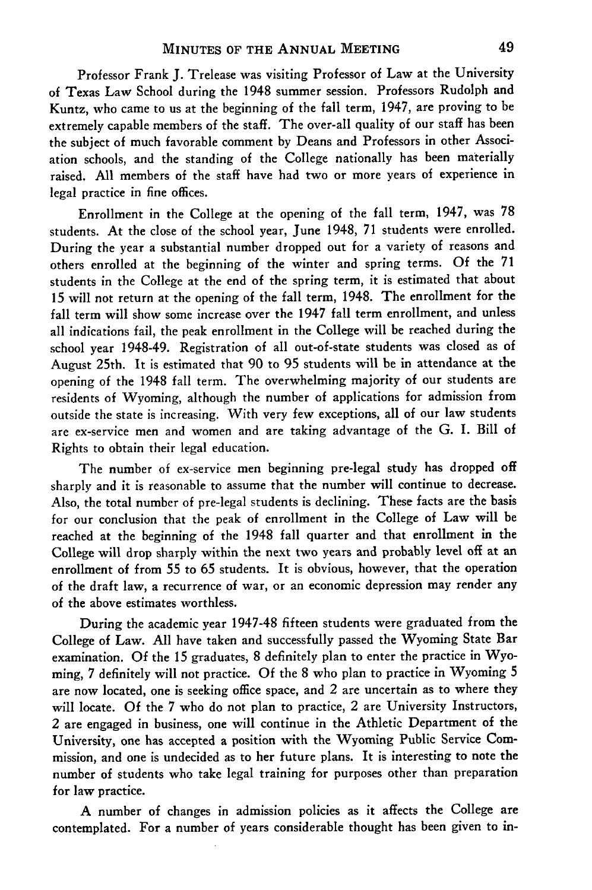Professor Frank J. Trelease was visiting Professor of Law at the University of Texas Law School during the 1948 summer session. Professors Rudolph and Kuntz, who came to us at the beginning of the fall term, 1947, are proving to be extremely capable members of the staff. The over-all quality of our staff has been the subject of much favorable comment by Deans and Professors in other Association schools, and the standing of the College nationally has been materially raised. **All** members of the staff have had two or more years of experience in legal practice in fine offices.

Enrollment in the College at the opening of the fall term, 1947, was 78 students. At the close of the school year, June 1948, **71** students were enrolled. During the year a substantial number dropped out for a variety of reasons and others enrolled at the beginning of the winter and spring terms. **Of** the 71 students in the College at the end of the spring term, it is estimated that about 15 will not return at the opening of the fall term, 1948. The enrollment for the fall term will show some increase over the 1947 fall term enrollment, and unless all indications fail, the peak enrollment in the College will be reached during the school year 1948-49. Registration of all out-of-state students was closed as of August 25th. It is estimated that 90 to 95 students will be in attendance at the opening of the 1948 fall term. The overwhelming majority of our students are residents of Wyoming, although the number of applications for admission from outside the state is increasing. With very few exceptions, all of our law students are ex-service men and women and are taking advantage of the G. I. Bill of Rights to obtain their legal education.

The number of ex-service men beginning pre-legal study has dropped off sharply and it is reasonable to assume that the number will continue to decrease. Also, the total number of pre-legal students is declining. These facts are the basis for our conclusion that the peak of enrollment in the College of Law will be reached at the beginning of the 1948 fall quarter and that enrollment in the College will drop sharply within the next two years and probably level off at an enrollment of from 55 to 65 students. It is obvious, however, that the operation of the draft law, a recurrence of war, or an economic depression may render any of the above estimates worthless.

During the academic year 1947-48 fifteen students were graduated from the College of Law. **All** have taken and successfully passed the Wyoming State Bar examination. **Of** the 15 graduates, 8 definitely plan to enter the practice in Wyoming, 7 definitely will not practice. **Of** the 8 who plan to practice in Wyoming 5 are now located, one is seeking office space, and 2 are uncertain as to where they will locate. **Of** the 7 who do not plan to practice, 2 are University Instructors, 2 are engaged in business, one will continue in the Athletic Department of the University, one has accepted a position with the Wyoming Public Service Commission, and one is undecided as to her future plans. It is interesting to note the number of students who take legal training for purposes other than preparation for law practice.

**A** number of changes in admission policies as it affects the College are contemplated. For a number of years considerable thought has been given to in